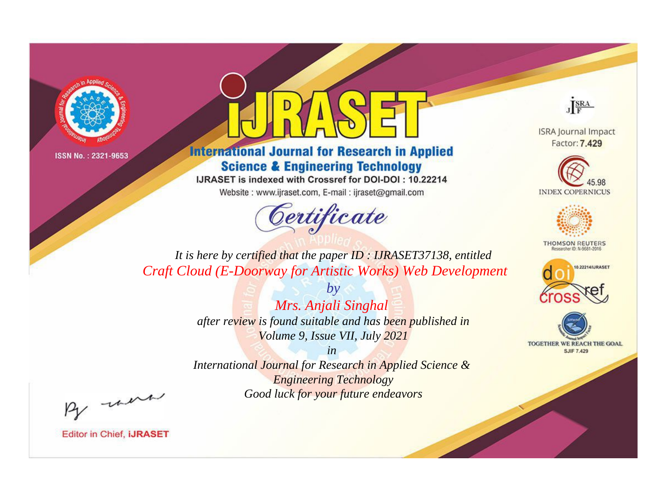



**International Journal for Research in Applied Science & Engineering Technology** 

IJRASET is indexed with Crossref for DOI-DOI: 10.22214

Website: www.ijraset.com, E-mail: ijraset@gmail.com



JERA

**ISRA Journal Impact** Factor: 7.429





**THOMSON REUTERS** 



TOGETHER WE REACH THE GOAL **SJIF 7.429** 

*It is here by certified that the paper ID : IJRASET37138, entitled Craft Cloud (E-Doorway for Artistic Works) Web Development*

> *by Mrs. Anjali Singhal after review is found suitable and has been published in Volume 9, Issue VII, July 2021*

> > *in*

*International Journal for Research in Applied Science & Engineering Technology Good luck for your future endeavors*

By morn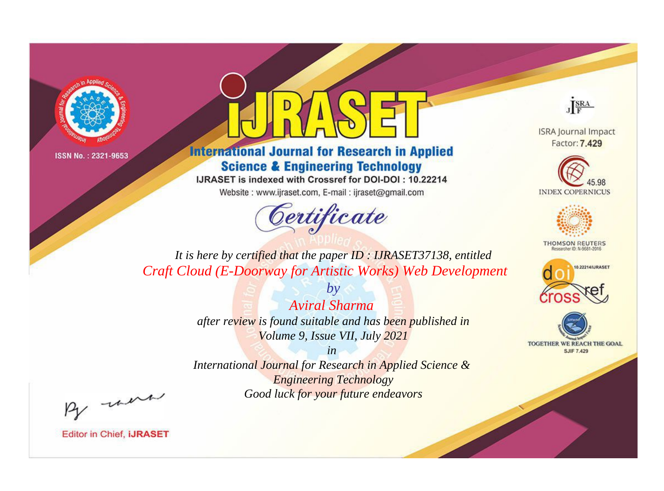



**International Journal for Research in Applied Science & Engineering Technology** 

IJRASET is indexed with Crossref for DOI-DOI: 10.22214

Website: www.ijraset.com, E-mail: ijraset@gmail.com



JERA

**ISRA Journal Impact** Factor: 7.429





**THOMSON REUTERS** 



TOGETHER WE REACH THE GOAL **SJIF 7.429** 

*It is here by certified that the paper ID : IJRASET37138, entitled Craft Cloud (E-Doorway for Artistic Works) Web Development*

> *by Aviral Sharma after review is found suitable and has been published in Volume 9, Issue VII, July 2021*

> > *in*

*International Journal for Research in Applied Science & Engineering Technology Good luck for your future endeavors*

By morn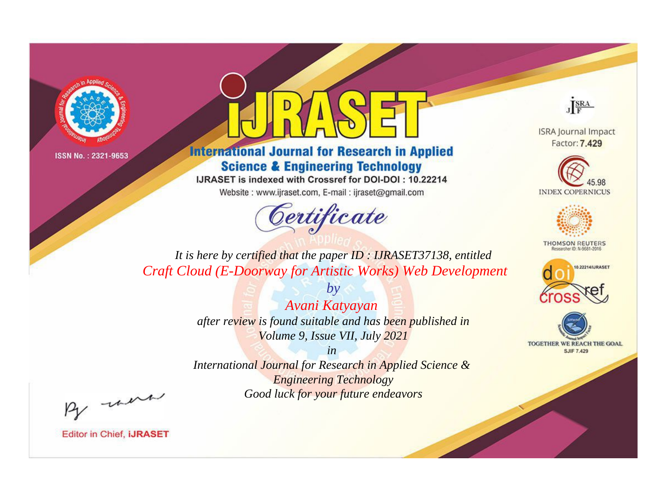



**International Journal for Research in Applied Science & Engineering Technology** 

IJRASET is indexed with Crossref for DOI-DOI: 10.22214

Website: www.ijraset.com, E-mail: ijraset@gmail.com



JERA

**ISRA Journal Impact** Factor: 7.429





**THOMSON REUTERS** 



TOGETHER WE REACH THE GOAL **SJIF 7.429** 

*It is here by certified that the paper ID : IJRASET37138, entitled Craft Cloud (E-Doorway for Artistic Works) Web Development*

> *Avani Katyayan after review is found suitable and has been published in Volume 9, Issue VII, July 2021*

*by*

*in* 

*International Journal for Research in Applied Science & Engineering Technology Good luck for your future endeavors*

By morn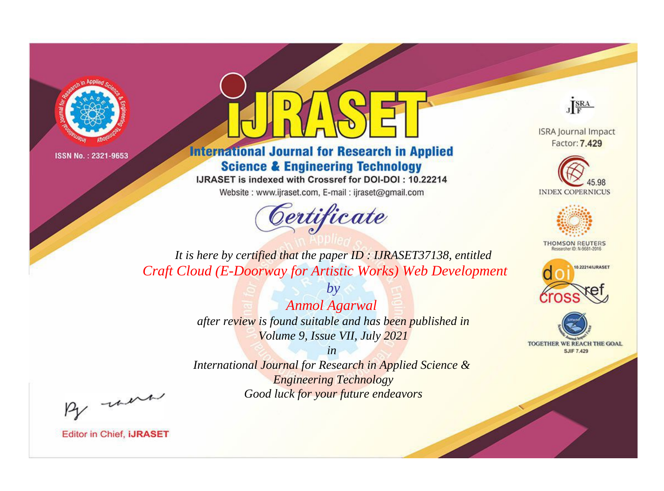



**International Journal for Research in Applied Science & Engineering Technology** 

IJRASET is indexed with Crossref for DOI-DOI: 10.22214

Website: www.ijraset.com, E-mail: ijraset@gmail.com



JERA

**ISRA Journal Impact** Factor: 7.429





**THOMSON REUTERS** 



TOGETHER WE REACH THE GOAL **SJIF 7.429** 

*It is here by certified that the paper ID : IJRASET37138, entitled Craft Cloud (E-Doorway for Artistic Works) Web Development*

> *Anmol Agarwal after review is found suitable and has been published in Volume 9, Issue VII, July 2021*

*by*

*in* 

*International Journal for Research in Applied Science & Engineering Technology Good luck for your future endeavors*

By morn